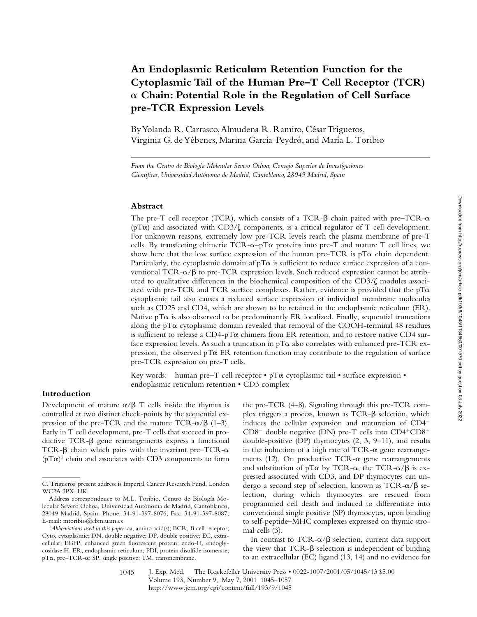# **An Endoplasmic Reticulum Retention Function for the Cytoplasmic Tail of the Human Pre–T Cell Receptor (TCR)**  a **Chain: Potential Role in the Regulation of Cell Surface pre-TCR Expression Levels**

By Yolanda R. Carrasco, Almudena R. Ramiro, César Trigueros, Virginia G. de Yébenes, Marina García-Peydró, and María L. Toribio

*From the Centro de Biología Molecular Severo Ochoa, Consejo Superior de Investigaciones Cientificas, Universidad Autónoma de Madrid, Cantoblanco, 28049 Madrid, Spain*

## **Abstract**

The pre-T cell receptor (TCR), which consists of a TCR- $\beta$  chain paired with pre–TCR- $\alpha$ ( $pT\alpha$ ) and associated with CD3/ $\zeta$  components, is a critical regulator of T cell development. For unknown reasons, extremely low pre-TCR levels reach the plasma membrane of pre-T cells. By transfecting chimeric TCR- $\alpha$ -pT $\alpha$  proteins into pre-T and mature T cell lines, we show here that the low surface expression of the human pre-TCR is  $pT\alpha$  chain dependent. Particularly, the cytoplasmic domain of  $pT\alpha$  is sufficient to reduce surface expression of a conventional TCR- $\alpha/\beta$  to pre-TCR expression levels. Such reduced expression cannot be attributed to qualitative differences in the biochemical composition of the  $CD3/\zeta$  modules associated with pre-TCR and TCR surface complexes. Rather, evidence is provided that the  $pT\alpha$ cytoplasmic tail also causes a reduced surface expression of individual membrane molecules such as CD25 and CD4, which are shown to be retained in the endoplasmic reticulum (ER). Native  $pT\alpha$  is also observed to be predominantly ER localized. Finally, sequential truncations along the pT $\alpha$  cytoplasmic domain revealed that removal of the COOH-terminal 48 residues is sufficient to release a  $CD4$ -pT $\alpha$  chimera from ER retention, and to restore native CD4 surface expression levels. As such a truncation in  $pT\alpha$  also correlates with enhanced pre-TCR expression, the observed  $pT\alpha$  ER retention function may contribute to the regulation of surface pre-TCR expression on pre-T cells.

Key words: human pre–T cell receptor •  $pT\alpha$  cytoplasmic tail • surface expression • endoplasmic reticulum retention • CD3 complex

# **Introduction**

Development of mature  $\alpha/\beta$  T cells inside the thymus is controlled at two distinct check-points by the sequential expression of the pre-TCR and the mature TCR- $\alpha$ / $\beta$  (1–3). Early in T cell development, pre-T cells that succeed in productive TCR-β gene rearrangements express a functional TCR- $\beta$  chain which pairs with the invariant pre–TCR- $\alpha$  $(pT\alpha)^1$  chain and associates with CD3 components to form

the pre-TCR (4–8). Signaling through this pre-TCR com $p$ lex triggers a process, known as  $TCR-\beta$  selection, which induces the cellular expansion and maturation of  $CD4$ <sup>-</sup>  $CD8^-$  double negative (DN) pre-T cells into  $CD4^+CD8^+$ double-positive (DP) thymocytes (2, 3, 9–11), and results in the induction of a high rate of TCR- $\alpha$  gene rearrangements (12). On productive TCR- $\alpha$  gene rearrangements and substitution of pT $\alpha$  by TCR- $\alpha$ , the TCR- $\alpha/\beta$  is expressed associated with CD3, and DP thymocytes can undergo a second step of selection, known as  $TCR-\alpha/\beta$  selection, during which thymocytes are rescued from programmed cell death and induced to differentiate into conventional single positive (SP) thymocytes, upon binding to self-peptide–MHC complexes expressed on thymic stromal cells (3).

In contrast to TCR- $\alpha/\beta$  selection, current data support the view that  $TCR-\beta$  selection is independent of binding to an extracellular (EC) ligand (13, 14) and no evidence for

C. Trigueros' present address is Imperial Cancer Research Fund, London WC2A 3PX, UK.

Address correspondence to M.L. Toribio, Centro de Biología Molecular Severo Ochoa, Universidad Autónoma de Madrid, Cantoblanco, 28049 Madrid, Spain. Phone: 34-91-397-8076; Fax: 34-91-397-8087; E-mail: mtoribio@cbm.uam.es

<sup>&</sup>lt;sup>1</sup>Abbreviations used in this paper: aa, amino acid(s); BCR, B cell receptor; Cyto, cytoplasmic; DN, double negative; DP, double positive; EC, extracellular; EGFP, enhanced green fluorescent protein; endo-H, endoglycosidase H; ER, endoplasmic reticulum; PDI, protein disulfide isomerase;  $pT\alpha$ , pre–TCR- $\alpha$ ; SP, single positive; TM, transmembrane.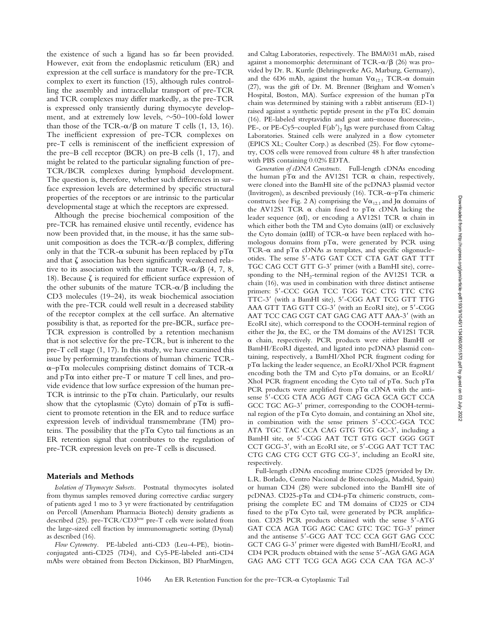the existence of such a ligand has so far been provided. However, exit from the endoplasmic reticulum (ER) and expression at the cell surface is mandatory for the pre-TCR complex to exert its function (15), although rules controlling the assembly and intracellular transport of pre-TCR and TCR complexes may differ markedly, as the pre-TCR is expressed only transiently during thymocyte development, and at extremely low levels,  $\sim 50$ –100-fold lower than those of the TCR- $\alpha$ / $\beta$  on mature T cells (1, 13, 16). The inefficient expression of pre-TCR complexes on pre-T cells is reminiscent of the inefficient expression of the pre–B cell receptor (BCR) on pre-B cells (1, 17), and might be related to the particular signaling function of pre-TCR/BCR complexes during lymphoid development. The question is, therefore, whether such differences in surface expression levels are determined by specific structural properties of the receptors or are intrinsic to the particular developmental stage at which the receptors are expressed.

Although the precise biochemical composition of the pre-TCR has remained elusive until recently, evidence has now been provided that, in the mouse, it has the same subunit composition as does the TCR- $\alpha/\beta$  complex, differing only in that the TCR- $\alpha$  subunit has been replaced by  $pT\alpha$ and that  $\zeta$  association has been significantly weakened relative to its association with the mature TCR- $\alpha$ / $\beta$  (4, 7, 8, 18). Because  $\zeta$  is required for efficient surface expression of the other subunits of the mature  $TCR-\alpha/\beta$  including the CD3 molecules (19–24), its weak biochemical association with the pre-TCR could well result in a decreased stability of the receptor complex at the cell surface. An alternative possibility is that, as reported for the pre-BCR, surface pre-TCR expression is controlled by a retention mechanism that is not selective for the pre-TCR, but is inherent to the pre-T cell stage (1, 17). In this study, we have examined this issue by performing transfections of human chimeric TCR- $\alpha$ –pT $\alpha$  molecules comprising distinct domains of TCR- $\alpha$ and  $pT\alpha$  into either pre-T or mature T cell lines, and provide evidence that low surface expression of the human pre-TCR is intrinsic to the  $pT\alpha$  chain. Particularly, our results show that the cytoplasmic (Cyto) domain of  $pT\alpha$  is sufficient to promote retention in the ER and to reduce surface expression levels of individual transmembrane (TM) proteins. The possibility that the  $pT\alpha$  Cyto tail functions as an ER retention signal that contributes to the regulation of pre-TCR expression levels on pre-T cells is discussed.

# **Materials and Methods**

*Isolation of Thymocyte Subsets.* Postnatal thymocytes isolated from thymus samples removed during corrective cardiac surgery of patients aged 1 mo to 3 yr were fractionated by centrifugation on Percoll (Amersham Pharmacia Biotech) density gradients as described (25). pre-TCR/CD3low pre-T cells were isolated from the large-sized cell fraction by immunomagnetic sorting (Dynal) as described (16).

*Flow Cytometry.* PE-labeled anti-CD3 (Leu-4-PE), biotinconjugated anti-CD25 (7D4), and Cy5-PE-labeled anti-CD4 mAbs were obtained from Becton Dickinson, BD PharMingen, and Caltag Laboratories, respectively. The BMA031 mAb, raised against a monomorphic determinant of TCR- $\alpha$ / $\beta$  (26) was provided by Dr. R. Kurrle (Behringwerke AG, Marburg, Germany), and the 6D6 mAb, against the human  $V\alpha_{12.1}$  TCR- $\alpha$  domain (27), was the gift of Dr. M. Brenner (Brigham and Women's Hospital, Boston, MA). Surface expression of the human  $pT\alpha$ chain was determined by staining with a rabbit antiserum (ED-1) raised against a synthetic peptide present in the  $pT\alpha$  EC domain (16). PE-labeled streptavidin and goat anti–mouse fluorescein-, PE-, or PE-Cy5-coupled  $F(ab')_2$  Igs were purchased from Caltag Laboratories. Stained cells were analyzed in a flow cytometer (EPICS XL; Coulter Corp.) as described (25). For flow cytometry, COS cells were removed from culture 48 h after transfection with PBS containing 0.02% EDTA.

*Generation of cDNA Constructs.* Full-length cDNAs encoding the human pT $\alpha$  and the AV12S1 TCR  $\alpha$  chain, respectively, were cloned into the BamHI site of the pcDNA3 plasmid vector (Invitrogen), as described previously (16). TCR- $\alpha$ -pT $\alpha$  chimeric constructs (see Fig. 2 A) comprising the  $V\alpha_{12.1}$  and J $\alpha$  domains of the AV12S1 TCR  $\alpha$  chain fused to pT $\alpha$  cDNA lacking the leader sequence ( $\alpha I$ ), or encoding a AV12S1 TCR  $\alpha$  chain in which either both the TM and Cyto domains  $(\alpha II)$  or exclusively the Cyto domain ( $\alpha$ III) of TCR- $\alpha$  have been replaced with homologous domains from  $pT\alpha$ , were generated by PCR using TCR- $\alpha$  and pT $\alpha$  cDNAs as templates, and specific oligonucleotides. The sense 5'-ATG GAT CCT CTA GAT GAT TTT TGC CAG CCT GTT G-3' primer (with a BamHI site), corresponding to the NH<sub>2</sub>-terminal region of the AV12S1 TCR  $\alpha$ chain (16), was used in combination with three distinct antisense primers: 5'-CCC GGA TCC TGG TGC CTG TTC CTG TTC-3' (with a BamHI site), 5'-CGG AAT TCG GTT TTG AAA GTT TAG GTT CG-3' (with an EcoRI site), or 5'-CGG AAT TCC CAG CGT CAT GAG CAG ATT AAA-3' (with an EcoRI site), which correspond to the COOH-terminal region of either the J $\alpha$ , the EC, or the TM domains of the AV12S1 TCR a chain, respectively. PCR products were either BamHI or BamHI/EcoRI digested, and ligated into pcDNA3 plasmid containing, respectively, a BamHI/XhoI PCR fragment coding for pTa lacking the leader sequence, an EcoRI/XhoI PCR fragment encoding both the TM and Cyto  $pT\alpha$  domains, or an EcoRI/ XhoI PCR fragment encoding the Cyto tail of pT $\alpha$ . Such pT $\alpha$ PCR products were amplified from  $pT\alpha$  cDNA with the antisense 5'-CCG CTA ACG AGT CAG GCA GCA GCT CCA GCC TGC AG-3' primer, corresponding to the COOH-terminal region of the  $pT\alpha$  Cyto domain, and containing an XhoI site, in combination with the sense primers 5'-CCC-GGA TCC ATA TGC TAC CCA CAG GTG TGG GC-3', including a BamHI site, or 5'-CGG AAT TCT GTG GCT GGG GGT CCT GCG-3', with an EcoRI site, or 5'-CGG AAT TCT TAC CTG CAG CTG CCT GTG CG-3', including an EcoRI site, respectively.

Full-length cDNAs encoding murine CD25 (provided by Dr. L.R. Borlado, Centro Nacional de Biotecnología, Madrid, Spain) or human CD4 (28) were subcloned into the BamHI site of pcDNA3. CD25-pT $\alpha$  and CD4-pT $\alpha$  chimeric constructs, comprising the complete EC and TM domains of CD25 or CD4 fused to the  $pT\alpha$  Cyto tail, were generated by PCR amplification. CD25 PCR products obtained with the sense 5'-ATG GAT CCA AGA TGG AGC CAC GTC TGC TG-3' primer and the antisense 5'-GCG AAT TCC CCA GGT GAG CCC GCT CAG G-3' primer were digested with BamHI/EcoRI, and CD4 PCR products obtained with the sense 5'-AGA GAG AGA GAG AAG CTT TCG GCA AGG CCA CAA TGA AC-3'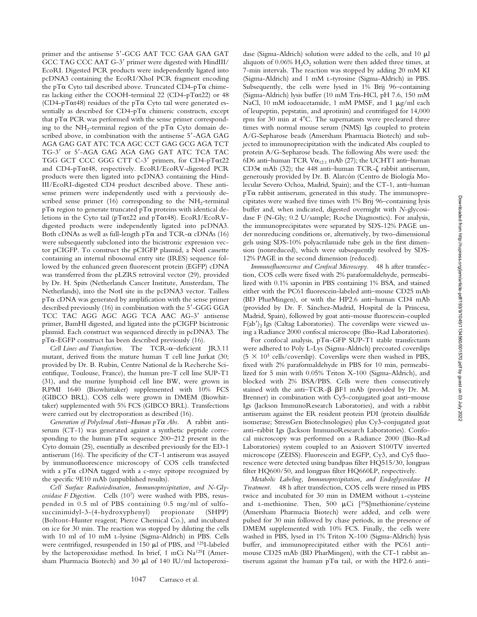primer and the antisense 5'-GCG AAT TCC GAA GAA GAT GCC TAG CCC AAT G-3' primer were digested with HindIII/ EcoRI. Digested PCR products were independently ligated into pcDNA3 containing the EcoRI/XhoI PCR fragment encoding the pT $\alpha$  Cyto tail described above. Truncated CD4-pT $\alpha$  chimeras lacking either the COOH-terminal 22 (CD4-pTat22) or 48 (CD4-pT $\alpha$ t48) residues of the pT $\alpha$  Cyto tail were generated essentially as described for CD4-pT $\alpha$  chimeric constructs, except that  $pT\alpha$  PCR was performed with the sense primer corresponding to the NH<sub>2</sub>-terminal region of the pT $\alpha$  Cyto domain described above, in combination with the antisense 5'-AGA GAG AGA GAG GAT ATC TCA AGC CCT GAG GCG AGA TCT TG-3' or 5'-AGA GAG AGA GAG GAT ATC TCA TAC TGG GCT CCC GGG CTT C-3' primers, for CD4-pTat22 and CD4-pTat48, respectively. EcoRI/EcoRV-digested PCR products were then ligated into pcDNA3 containing the Hind-III/EcoRI-digested CD4 product described above. These antisense primers were independently used with a previously described sense primer (16) corresponding to the  $NH<sub>2</sub>$ -terminal  $pT\alpha$  region to generate truncated  $pT\alpha$  proteins with identical deletions in the Cyto tail (pTat22 and pTat48). EcoRI/EcoRVdigested products were independently ligated into pcDNA3. Both cDNAs as well as full-length  $pT\alpha$  and TCR- $\alpha$  cDNAs (16) were subsequently subcloned into the bicistronic expression vector pCIGFP. To construct the pCIGFP plasmid, a NotI cassette containing an internal ribosomal entry site (IRES) sequence followed by the enhanced green fluorescent protein (EGFP) cDNA was transferred from the pLZRS retroviral vector (29), provided by Dr. H. Spits (Netherlands Cancer Institute, Amsterdam, The Netherlands), into the NotI site in the pcDNA3 vector. Tailless  $pT\alpha$  cDNA was generated by amplification with the sense primer described previously (16) in combination with the 5'-GGG GGA TCC TAC AGG AGC AGG TCA AAC AG-3' antisense primer, BamHI digested, and ligated into the pCIGFP bicistronic plasmid. Each construct was sequenced directly in pcDNA3. The  $pT\alpha$ -EGFP construct has been described previously (16).

*Cell Lines and Transfection.* The TCR-a–deficient JR3.11 mutant, derived from the mature human T cell line Jurkat (30; provided by Dr. B. Rubin, Centre National de la Recherche Scientifique, Toulouse, France), the human pre-T cell line SUP-T1 (31), and the murine lymphoid cell line BW, were grown in RPMI 1640 (Biowhittaker) supplemented with 10% FCS (GIBCO BRL). COS cells were grown in DMEM (Biowhittaker) supplemented with 5% FCS (GIBCO BRL). Transfections were carried out by electroporation as described (16).

*Generation of Polyclonal Anti–Human pT*a *Abs.* A rabbit antiserum (CT-1) was generated against a synthetic peptide corresponding to the human  $pT\alpha$  sequence 200–212 present in the Cyto domain (25), essentially as described previously for the ED-1 antiserum (16). The specificity of the CT-1 antiserum was assayed by immunofluorescence microscopy of COS cells transfected with a  $pT\alpha$  cDNA tagged with a c-myc epitope recognized by the specific 9E10 mAb (unpublished results).

*Cell Surface Radioiodination, Immunoprecipitation, and N-Glycosidase F Digestion.* Cells (107) were washed with PBS, resuspended in 0.5 ml of PBS containing 0.5 mg/ml of sulfosuccinimidyl-3-(4-hydroxyphenyl) propionate (SHPP) (Boltont-Hunter reagent; Pierce Chemical Co.), and incubated on ice for 30 min. The reaction was stopped by diluting the cells with 10 ml of 10 mM l-lysine (Sigma-Aldrich) in PBS. Cells were centrifuged, resuspended in 150 ml of PBS, and 125I-labeled by the lactoperoxidase method. In brief, 1 mCi Na125I (Amersham Pharmacia Biotech) and 30  $\mu$ l of 140 IU/ml lactoperoxi-

dase (Sigma-Aldrich) solution were added to the cells, and 10  $\mu$ l aliquots of  $0.06\%$  H<sub>2</sub>O<sub>2</sub> solution were then added three times, at 7-min intervals. The reaction was stopped by adding 20 mM KI (Sigma-Aldrich) and 1 mM l-tyrosine (Sigma-Aldrich) in PBS. Subsequently, the cells were lysed in 1% Brij 96–containing (Sigma-Aldrich) lysis buffer (10 mM Tris-HCl, pH 7.6, 150 mM NaCl, 10 mM iodoacetamide, 1 mM PMSF, and 1  $\mu$ g/ml each of leupeptin, pepstatin, and aprotinin) and centrifuged for 14,000 rpm for 30 min at  $4^{\circ}$ C. The supernatants were precleared three times with normal mouse serum (NMS) Igs coupled to protein A/G-Sepharose beads (Amersham Pharmacia Biotech) and subjected to immunoprecipitation with the indicated Abs coupled to protein A/G-Sepharose beads. The following Abs were used: the 6D6 anti-human TCR V $\alpha_{12.1}$  mAb (27); the UCHT1 anti-human CD3 $\epsilon$  mAb (32); the 448 anti-human TCR- $\zeta$  rabbit antiserum, generously provided by Dr. B. Alarcón (Centro de Biología Molecular Severo Ochoa, Madrid, Spain); and the CT-1, anti–human  $pT\alpha$  rabbit antiserum, generated in this study. The immunoprecipitates were washed five times with 1% Brij 96–containing lysis buffer and, when indicated, digested overnight with *N*-glycosidase F (N-Gly; 0.2 U/sample; Roche Diagnostics). For analysis, the immunoprecipitates were separated by SDS-12% PAGE under nonreducing conditions or, alternatively, by two-dimensional gels using SDS-10% polyacrilamide tube gels in the first dimension (nonreduced), which were subsequently resolved by SDS-12% PAGE in the second dimension (reduced).

*Immunofluorescence and Confocal Microscopy.* 48 h after transfection, COS cells were fixed with 2% paraformaldehyde, permeabilized with 0.1% saponin in PBS containing 1% BSA, and stained either with the PC61 fluorescein-labeled anti–mouse CD25 mAb (BD PharMingen), or with the HP2.6 anti–human CD4 mAb (provided by Dr. F. Sánchez-Madrid, Hospital de la Princesa, Madrid, Spain), followed by goat anti–mouse fluorescein-coupled  $F(ab')$ <sub>2</sub> Igs (Caltag Laboratories). The coverslips were viewed using a Radiance 2000 confocal microscope (Bio-Rad Laboratories).

For confocal analysis, pTa-GFP SUP-T1 stable transfectants were adhered to Poly L-Lys (Sigma-Aldrich) precoated coverslips  $(5 \times 10^5 \text{ cells/coverslip})$ . Coverslips were then washed in PBS, fixed with 2% paraformaldehyde in PBS for 10 min, permeabilized for 5 min with 0.05% Triton X-100 (Sigma-Aldrich), and blocked with 2% BSA/PBS. Cells were then consecutively stained with the anti-TCR- $\beta$   $\beta$ F1 mAb (provided by Dr. M. Brenner) in combination with Cy5-conjugated goat anti–mouse Igs (Jackson ImmunoResearch Laboratories), and with a rabbit antiserum against the ER resident protein PDI (protein disulfide isomerase; StressGen Biotechnologies) plus Cy3-conjugated goat anti–rabbit Igs (Jackson ImmunoResearch Laboratories). Confocal microscopy was performed on a Radiance 2000 (Bio-Rad Laboratories) system coupled to an Axiovert S100TV inverted microscope (ZEISS). Fluorescein and EGFP, Cy3, and Cy5 fluorescence were detected using bandpass filter HQ515/30, longpass filter HQ600/50, and longpass filter HQ660LP, respectively.

*Metabolic Labeling, Immunoprecipitation, and Endoglycosidase H Treatment.* 48 h after transfection, COS cells were rinsed in PBS twice and incubated for 30 min in DMEM without l-cysteine and L-methionine. Then,  $500 \mu Ci$  [<sup>35</sup>S]methionine/cysteine (Amersham Pharmacia Biotech) were added, and cells were pulsed for 30 min followed by chase periods, in the presence of DMEM supplemented with 10% FCS. Finally, the cells were washed in PBS, lysed in 1% Triton X-100 (Sigma-Aldrich) lysis buffer, and immunoprecipitated either with the PC61 anti– mouse CD25 mAb (BD PharMingen), with the CT-1 rabbit antiserum against the human  $pT\alpha$  tail, or with the HP2.6 anti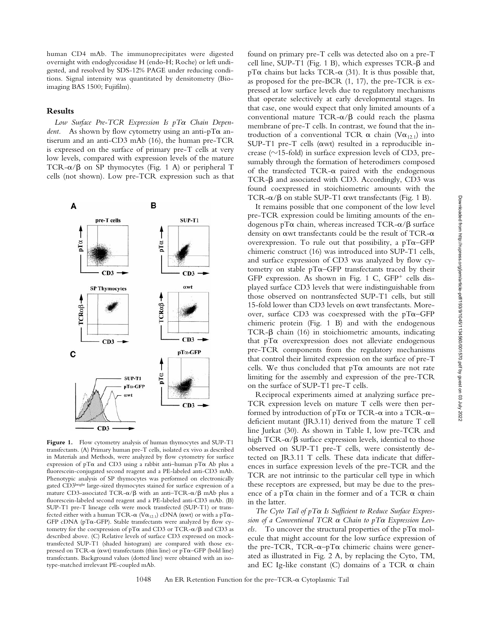human CD4 mAb. The immunoprecipitates were digested overnight with endoglycosidase H (endo-H; Roche) or left undigested, and resolved by SDS-12% PAGE under reducing conditions. Signal intensity was quantitated by densitometry (Bioimaging BAS 1500; Fujifilm).

# **Results**

*Low Surface Pre-TCR Expression Is pT*a *Chain Dependent.* As shown by flow cytometry using an anti- $pT\alpha$  antiserum and an anti-CD3 mAb (16), the human pre-TCR is expressed on the surface of primary pre-T cells at very low levels, compared with expression levels of the mature TCR- $\alpha/\beta$  on SP thymocytes (Fig. 1 A) or peripheral T cells (not shown). Low pre-TCR expression such as that



Figure 1. Flow cytometry analysis of human thymocytes and SUP-T1 transfectants. (A) Primary human pre-T cells, isolated ex vivo as described in Materials and Methods, were analyzed by flow cytometry for surface expression of pT $\alpha$  and CD3 using a rabbit anti-human pT $\alpha$  Ab plus a fluorescein-conjugated second reagent and a PE-labeled anti-CD3 mAb. Phenotypic analysis of SP thymocytes was performed on electronically gated CD3bright large-sized thymocytes stained for surface expression of a mature CD3-associated TCR- $\alpha/\beta$  with an anti-TCR- $\alpha/\beta$  mAb plus a fluorescein-labeled second reagent and a PE-labeled anti-CD3 mAb. (B) SUP-T1 pre-T lineage cells were mock transfected (SUP-T1) or transfected either with a human TCR- $\alpha$  (V $\alpha_{12.1}$ ) cDNA ( $\alpha$ wt) or with a pT $\alpha$ -GFP cDNA (pTa-GFP). Stable transfectants were analyzed by flow cytometry for the coexpression of  $pT\alpha$  and CD3 or TCR- $\alpha$ / $\beta$  and CD3 as described above. (C) Relative levels of surface CD3 expressed on mocktransfected SUP-T1 (shaded histogram) are compared with those expressed on TCR- $\alpha$  ( $\alpha$ wt) transfectants (thin line) or pT $\alpha$ –GFP (bold line) transfectants. Background values (dotted line) were obtained with an isotype-matched irrelevant PE-coupled mAb.

found on primary pre-T cells was detected also on a pre-T cell line, SUP-T1 (Fig. 1 B), which expresses  $TCR-\beta$  and  $pT\alpha$  chains but lacks TCR- $\alpha$  (31). It is thus possible that, as proposed for the pre-BCR (1, 17), the pre-TCR is expressed at low surface levels due to regulatory mechanisms that operate selectively at early developmental stages. In that case, one would expect that only limited amounts of a conventional mature  $TCR-\alpha/\beta$  could reach the plasma membrane of pre-T cells. In contrast, we found that the introduction of a conventional TCR  $\alpha$  chain (V $\alpha_{12,1}$ ) into SUP-T1 pre-T cells ( $\alpha$ wt) resulted in a reproducible increase ( $\sim$ 15-fold) in surface expression levels of CD3, presumably through the formation of heterodimers composed of the transfected TCR- $\alpha$  paired with the endogenous TCR-β and associated with CD3. Accordingly, CD3 was found coexpressed in stoichiometric amounts with the TCR- $\alpha/\beta$  on stable SUP-T1  $\alpha$ wt transfectants (Fig. 1 B).

It remains possible that one component of the low level pre-TCR expression could be limiting amounts of the endogenous pT $\alpha$  chain, whereas increased TCR- $\alpha$ / $\beta$  surface density on  $\alpha$  wt transfectants could be the result of TCR- $\alpha$ overexpression. To rule out that possibility, a  $pT\alpha$ –GFP chimeric construct (16) was introduced into SUP-T1 cells, and surface expression of CD3 was analyzed by flow cytometry on stable  $pT\alpha$ –GFP transfectants traced by their GFP expression. As shown in Fig. 1 C,  $GFP<sup>+</sup>$  cells displayed surface CD3 levels that were indistinguishable from those observed on nontransfected SUP-T1 cells, but still 15-fold lower than CD3 levels on awt transfectants. Moreover, surface CD3 was coexpressed with the  $pT\alpha$ –GFP chimeric protein (Fig. 1 B) and with the endogenous  $TCR-\beta$  chain (16) in stoichiometric amounts, indicating that  $pT\alpha$  overexpression does not alleviate endogenous pre-TCR components from the regulatory mechanisms that control their limited expression on the surface of pre-T cells. We thus concluded that  $pT\alpha$  amounts are not rate limiting for the assembly and expression of the pre-TCR on the surface of SUP-T1 pre-T cells.

Reciprocal experiments aimed at analyzing surface pre-TCR expression levels on mature T cells were then performed by introduction of  $pT\alpha$  or TCR- $\alpha$  into a TCR- $\alpha$ – deficient mutant (JR3.11) derived from the mature T cell line Jurkat (30). As shown in Table I, low pre-TCR and high TCR- $\alpha/\beta$  surface expression levels, identical to those observed on SUP-T1 pre-T cells, were consistently detected on JR3.11 T cells. These data indicate that differences in surface expression levels of the pre-TCR and the TCR are not intrinsic to the particular cell type in which these receptors are expressed, but may be due to the presence of a pT $\alpha$  chain in the former and of a TCR  $\alpha$  chain in the latter.

*The Cyto Tail of pT*a *Is Sufficient to Reduce Surface Expression of a Conventional TCR* a *Chain to pT*a *Expression Levels.* To uncover the structural properties of the  $pT\alpha$  molecule that might account for the low surface expression of the pre-TCR, TCR- $\alpha$ -pT $\alpha$  chimeric chains were generated as illustrated in Fig. 2 A, by replacing the Cyto, TM, and EC Ig-like constant  $(C)$  domains of a TCR  $\alpha$  chain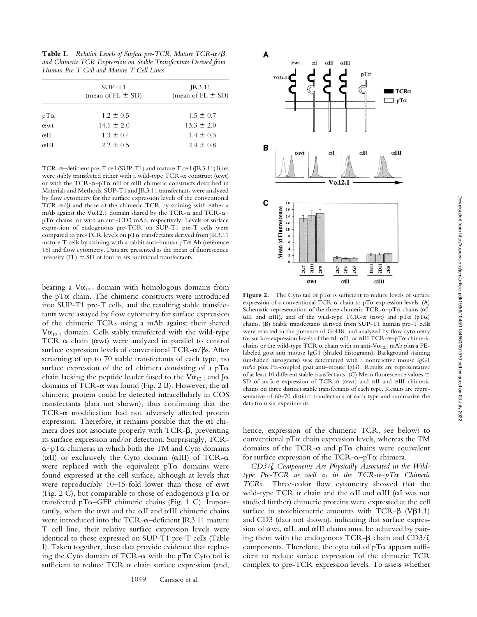**Table I.** *Relative Levels of Surface pre-TCR, Mature TCR-* $\alpha/\beta$ *, and Chimeric TCR Expression on Stable Transfectants Derived from Human Pre-T Cell and Mature T Cell Lines*

|                         | $SUP-T1$<br>(mean of FL $\pm$ SD) | IR3.11<br>(mean of FL $\pm$ SD) |  |
|-------------------------|-----------------------------------|---------------------------------|--|
| $pT\alpha$              | $1.2 \pm 0.5$                     | $1.5 \pm 0.7$                   |  |
| $\alpha$ wt             | $14.1 \pm 2.0$                    | $13.3 \pm 2.0$                  |  |
| $\alpha$ <sub>II</sub>  | $1.3 \pm 0.4$                     | $1.4 \pm 0.3$                   |  |
| $\alpha$ <sub>III</sub> | $2.2 \pm 0.5$                     | $2.4 \pm 0.8$                   |  |
|                         |                                   |                                 |  |

TCR-a–deficient pre-T cell (SUP-T1) and mature T cell (JR3.11) lines were stably transfected either with a wild-type TCR- $\alpha$  construct ( $\alpha$ wt) or with the TCR- $\alpha$ -pT $\alpha$   $\alpha$ II or  $\alpha$ III chimeric constructs described in Materials and Methods. SUP-T1 and JR3.11 transfectants were analyzed by flow cytometry for the surface expression levels of the conventional TCR- $\alpha$ / $\beta$  and those of the chimeric TCR by staining with either a mAb against the V $\alpha$ 12.1 domain shared by the TCR- $\alpha$  and TCR- $\alpha$ – pTa chains, or with an anti-CD3 mAb, respectively. Levels of surface expression of endogenous pre-TCR on SUP-T1 pre-T cells were compared to pre-TCR levels on  $pT\alpha$  transfectants derived from JR3.11 mature T cells by staining with a rabbit anti-human  $pT\alpha$  Ab (reference 16) and flow cytometry. Data are presented as the mean of fluorescence intensity (FL)  $\pm$  SD of four to six individual transfectants.

bearing a  $V\alpha_{12.1}$  domain with homologous domains from the  $pT\alpha$  chain. The chimeric constructs were introduced into SUP-T1 pre-T cells, and the resulting stable transfectants were assayed by flow cytometry for surface expression of the chimeric TCRs using a mAb against their shared  $V\alpha_{12.1}$  domain. Cells stably transfected with the wild-type TCR  $\alpha$  chain ( $\alpha$ wt) were analyzed in parallel to control surface expression levels of conventional TCR- $\alpha$ / $\beta$ s. After screening of up to 70 stable transfectants of each type, no surface expression of the  $\alpha I$  chimera consisting of a pT $\alpha$ chain lacking the peptide leader fused to the V $\alpha_{12,1}$  and J $\alpha$ domains of TCR- $\alpha$  was found (Fig. 2 B). However, the  $\alpha I$ chimeric protein could be detected intracellularly in COS transfectants (data not shown), thus confirming that the  $TCR-\alpha$  modification had not adversely affected protein expression. Therefore, it remains possible that the  $\alpha I$  chimera does not associate properly with  $TCR-\beta$ , preventing its surface expression and/or detection. Surprisingly, TCR- $\alpha$ –pT $\alpha$  chimeras in which both the TM and Cyto domains ( $\alpha$ II) or exclusively the Cyto domain ( $\alpha$ III) of TCR- $\alpha$ were replaced with the equivalent  $pT\alpha$  domains were found expressed at the cell surface, although at levels that were reproducibly  $10-15$ -fold lower than those of  $\alpha$ wt (Fig. 2 C), but comparable to those of endogenous  $pT\alpha$  or transfected pTa–GFP chimeric chains (Fig. 1 C). Importantly, when the  $\alpha$  and the  $\alpha$ II and  $\alpha$ III chimeric chains were introduced into the TCR- $\alpha$ –deficient JR3.11 mature T cell line, their relative surface expression levels were identical to those expressed on SUP-T1 pre-T cells (Table I). Taken together, these data provide evidence that replacing the Cyto domain of TCR- $\alpha$  with the pT $\alpha$  Cyto tail is sufficient to reduce TCR  $\alpha$  chain surface expression (and,



**Figure 2.** The Cyto tail of  $pT\alpha$  is sufficient to reduce levels of surface expression of a conventional TCR  $\alpha$  chain to pT $\alpha$  expression levels. (A) Schematic representation of the three chimeric TCR- $\alpha$ –pT $\alpha$  chains ( $\alpha I$ ,  $\alpha$ II, and  $\alpha$ III), and of the wild-type TCR- $\alpha$  ( $\alpha$ wt) and  $pT\alpha$  ( $pT\alpha$ ) chains. (B) Stable transfectants derived from SUP-T1 human pre-T cells were selected in the presence of G-418, and analyzed by flow cytometry for surface expression levels of the  $\alpha I$ ,  $\alpha II$ , or  $\alpha III$  TCR- $\alpha$ – $pT\alpha$  chimeric chains or the wild-type TCR  $\alpha$  chain with an anti-V $\alpha_{12,1}$  mAb plus a PElabeled goat anti–mouse IgG1 (shaded histograms). Background staining (unshaded histograms) was determined with a nonreactive mouse IgG1 mAb plus PE-coupled goat anti–mouse IgG1. Results are representative of at least 10 different stable transfectants. (C) Mean fluorescence values  $\pm$ SD of surface expression of TCR- $\alpha$  ( $\alpha$ wt) and  $\alpha$ II and  $\alpha$ III chimeric chains on three distinct stable transfectants of each type. Results are representative of 60–70 distinct transfectants of each type and summarize the data from six experiments.

hence, expression of the chimeric TCR, see below) to conventional  $pT\alpha$  chain expression levels, whereas the TM domains of the TCR- $\alpha$  and  $pT\alpha$  chains were equivalent for surface expression of the TCR- $\alpha$ –pT $\alpha$  chimera.

*CD3/*z *Components Are Physically Associated in the Wildtype Pre-TCR as well as in the TCR-*a*–pT*a *Chimeric TCRs.* Three-color flow cytometry showed that the wild-type TCR  $\alpha$  chain and the  $\alpha$ II and  $\alpha$ III ( $\alpha$ I was not studied further) chimeric proteins were expressed at the cell surface in stoichiometric amounts with TCR- $\beta$  (V $\beta$ 1.1) and CD3 (data not shown), indicating that surface expression of  $\alpha$ wt,  $\alpha$ II, and  $\alpha$ III chains must be achieved by pairing them with the endogenous TCR- $\beta$  chain and CD3/ $\zeta$ components. Therefore, the cyto tail of  $pT\alpha$  appears sufficient to reduce surface expression of the chimeric TCR complex to pre-TCR expression levels. To assess whether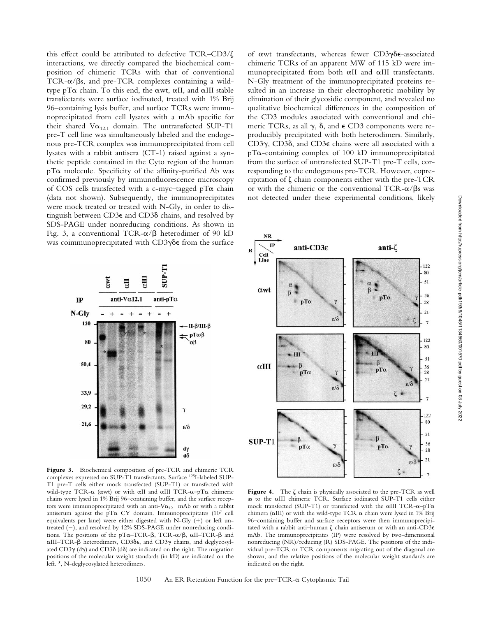this effect could be attributed to defective TCR–CD3/ $\zeta$ interactions, we directly compared the biochemical composition of chimeric TCRs with that of conventional TCR- $\alpha$ / $\beta$ s, and pre-TCR complexes containing a wildtype pT $\alpha$  chain. To this end, the  $\alpha$ wt,  $\alpha$ II, and  $\alpha$ III stable transfectants were surface iodinated, treated with 1% Brij 96–containing lysis buffer, and surface TCRs were immunoprecipitated from cell lysates with a mAb specific for their shared  $V\alpha_{12.1}$  domain. The untransfected SUP-T1 pre-T cell line was simultaneously labeled and the endogenous pre-TCR complex was immunoprecipitated from cell lysates with a rabbit antisera (CT-1) raised against a synthetic peptide contained in the Cyto region of the human pTa molecule. Specificity of the affinity-purified Ab was confirmed previously by immunofluorescence microscopy of COS cells transfected with a c-myc-tagged  $pT\alpha$  chain (data not shown). Subsequently, the immunoprecipitates were mock treated or treated with N-Gly, in order to distinguish between CD3e and CD3d chains, and resolved by SDS-PAGE under nonreducing conditions. As shown in Fig. 3, a conventional TCR- $\alpha/\beta$  heterodimer of 90 kD was coimmunoprecipitated with  $CD3\gamma\delta\epsilon$  from the surface



**Figure 3.** Biochemical composition of pre-TCR and chimeric TCR complexes expressed on SUP-T1 transfectants. Surface 125I-labeled SUP-T1 pre-T cells either mock transfected (SUP-T1) or transfected with wild-type TCR- $\alpha$  ( $\alpha$ wt) or with  $\alpha$ II and  $\alpha$ III TCR- $\alpha$ - $p$ T $\alpha$  chimeric chains were lysed in 1% Brij 96–containing buffer, and the surface receptors were immunoprecipitated with an anti-V $\alpha_{12.1}$  mAb or with a rabbit antiserum against the pT $\alpha$  CY domain. Immunoprecipitates (107 cell equivalents per lane) were either digested with N-Gly  $(+)$  or left untreated  $(-)$ , and resolved by 12% SDS-PAGE under nonreducing conditions. The positions of the pT $\alpha$ –TCR- $\beta$ , TCR- $\alpha/\beta$ ,  $\alpha$ II–TCR- $\beta$  and  $\alpha$ III–TCR- $\beta$  heterodimers, CD3 $\delta \epsilon$ , and CD3 $\gamma$  chains, and deglycosylated CD3 $\gamma$  (d $\gamma$ ) and CD3 $\delta$  (d $\delta$ ) are indicated on the right. The migration positions of the molecular weight standards (in kD) are indicated on the left. \*, N-deglycosylated heterodimers.

of  $\alpha$ wt transfectants, whereas fewer CD3 $\gamma\delta\epsilon$ -associated chimeric TCRs of an apparent MW of 115 kD were immunoprecipitated from both  $\alpha$ II and  $\alpha$ III transfectants. N-Gly treatment of the immunoprecipitated proteins resulted in an increase in their electrophoretic mobility by elimination of their glycosidic component, and revealed no qualitative biochemical differences in the composition of the CD3 modules associated with conventional and chimeric TCRs, as all  $\gamma$ ,  $\delta$ , and  $\epsilon$  CD3 components were reproducibly precipitated with both heterodimers. Similarly, CD3g, CD3d, and CD3e chains were all associated with a  $pT\alpha$ -containing complex of 100 kD immunoprecipitated from the surface of untransfected SUP-T1 pre-T cells, corresponding to the endogenous pre-TCR. However, coprecipitation of  $\zeta$  chain components either with the pre-TCR or with the chimeric or the conventional TCR- $\alpha$ / $\beta$ s was not detected under these experimental conditions, likely



Figure 4. The  $\zeta$  chain is physically associated to the pre-TCR as well as to the aIII chimeric TCR. Surface iodinated SUP-T1 cells either mock transfected (SUP-T1) or transfected with the  $\alpha$ III TCR- $\alpha$ -pT $\alpha$ chimera ( $\alpha$ III) or with the wild-type TCR  $\alpha$  chain were lysed in 1% Brij 96–containing buffer and surface receptors were then immunoprecipitated with a rabbit anti-human  $\zeta$  chain antiserum or with an anti-CD3 $\epsilon$ mAb. The immunoprecipitates (IP) were resolved by two-dimensional nonreducing (NR)/reducing (R) SDS-PAGE. The positions of the individual pre-TCR or TCR components migrating out of the diagonal are shown, and the relative positions of the molecular weight standards are indicated on the right.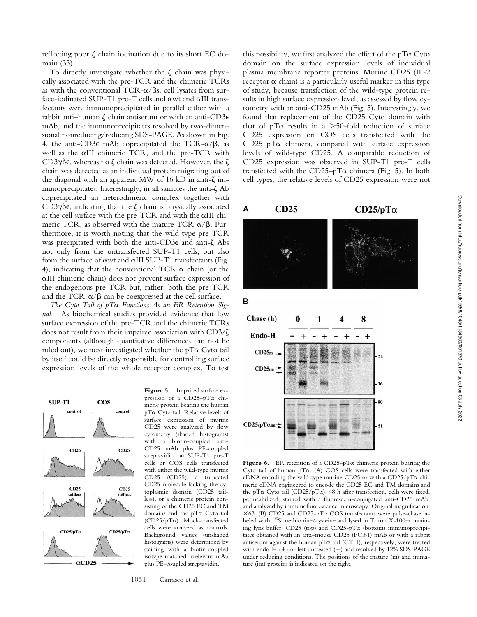reflecting poor  $\zeta$  chain iodination due to its short EC domain (33).

To directly investigate whether the  $\zeta$  chain was physically associated with the pre-TCR and the chimeric TCRs as with the conventional TCR- $\alpha$ / $\beta$ s, cell lysates from surface-iodinated SUP-T1 pre-T cells and awt and aIII transfectants were immunoprecipitated in parallel either with a rabbit anti-human  $\zeta$  chain antiserum or with an anti-CD3 $\epsilon$ mAb, and the immunoprecipitates resolved by two-dimensional nonreducing/reducing SDS-PAGE. As shown in Fig. 4, the anti-CD3 $\epsilon$  mAb coprecipitated the TCR- $\alpha/\beta$ , as well as the aIII chimeric TCR, and the pre-TCR with CD3 $\gamma$  $\delta$ e, whereas no  $\zeta$  chain was detected. However, the  $\zeta$ chain was detected as an individual protein migrating out of the diagonal with an apparent MW of 16 kD in anti- $\zeta$  immunoprecipitates. Interestingly, in all samples the anti- $\zeta$  Ab coprecipitated an heterodimeric complex together with CD3 $\gamma\delta\epsilon$ , indicating that the  $\zeta$  chain is physically associated at the cell surface with the pre-TCR and with the aIII chimeric TCR, as observed with the mature TCR- $\alpha$ / $\beta$ . Furthermore, it is worth noting that the wild-type pre-TCR was precipitated with both the anti-CD3 $\epsilon$  and anti- $\zeta$  Abs not only from the untransfected SUP-T1 cells, but also from the surface of  $\alpha$ wt and  $\alpha$ III SUP-T1 transfectants (Fig. 4), indicating that the conventional TCR  $\alpha$  chain (or the aIII chimeric chain) does not prevent surface expression of the endogenous pre-TCR but, rather, both the pre-TCR and the TCR- $\alpha/\beta$  can be coexpressed at the cell surface.

*The Cyto Tail of pT*a *Functions As an ER Retention Signal.* As biochemical studies provided evidence that low surface expression of the pre-TCR and the chimeric TCRs does not result from their impaired association with  $CD3/\zeta$ components (although quantitative differences can not be ruled out), we next investigated whether the  $pT\alpha$  Cyto tail by itself could be directly responsible for controlling surface expression levels of the whole receptor complex. To test



**Figure 5.** Impaired surface expression of a CD25–pTa chimeric protein bearing the human pTa Cyto tail. Relative levels of surface expression of murine CD25 were analyzed by flow cytometry (shaded histograms) with a biotin-coupled anti-CD25 mAb plus PE-coupled streptavidin on SUP-T1 pre-T cells or COS cells transfected with either the wild-type murine CD25 (CD25), a truncated CD25 molecule lacking the cytoplasmic domain (CD25 tailless), or a chimeric protein consisting of the CD25 EC and TM domains and the pTa Cyto tail (CD25/pTa). Mock-transfected cells were analyzed as controls. Background values (unshaded histograms) were determined by staining with a biotin-coupled isotype-matched irrelevant mAb plus PE-coupled streptavidin.

1051 Carrasco et al.

this possibility, we first analyzed the effect of the  $pT\alpha$  Cyto domain on the surface expression levels of individual plasma membrane reporter proteins. Murine CD25 (IL-2 receptor  $\alpha$  chain) is a particularly useful marker in this type of study, because transfection of the wild-type protein results in high surface expression level, as assessed by flow cytometry with an anti-CD25 mAb (Fig. 5). Interestingly, we found that replacement of the CD25 Cyto domain with that of pT $\alpha$  results in a  $>50$ -fold reduction of surface CD25 expression on COS cells transfected with the  $CD25-pT\alpha$  chimera, compared with surface expression levels of wild-type CD25. A comparable reduction of CD25 expression was observed in SUP-T1 pre-T cells transfected with the CD25-pT $\alpha$  chimera (Fig. 5). In both cell types, the relative levels of CD25 expression were not



**Figure 6.** ER retention of a CD25–pTa chimeric protein bearing the Cyto tail of human pTa. (A) COS cells were transfected with either cDNA encoding the wild-type murine CD25 or with a CD25/pTa chimeric cDNA engineered to encode the CD25 EC and TM domains and the pT $\alpha$  Cyto tail (CD25/pT $\alpha$ ). 48 h after transfection, cells were fixed, permeabilized, stained with a fluorescein-conjugated anti-CD25 mAb, and analyzed by immunofluorescence microscopy. Original magnification:  $\times$ 63. (B) CD25 and CD25-pT $\alpha$  COS transfectants were pulse-chase labeled with [35S]methionine/cysteine and lysed in Triton X-100–containing lysis buffer. CD25 (top) and CD25-pT $\alpha$  (bottom) immunoprecipitates obtained with an anti–mouse CD25 (PC.61) mAb or with a rabbit antiserum against the human  $pT\alpha$  tail (CT-1), respectively, were treated with endo-H  $(+)$  or left untreated  $(-)$  and resolved by 12% SDS-PAGE under reducing conditions. The positions of the mature (m) and immature (im) proteins is indicated on the right.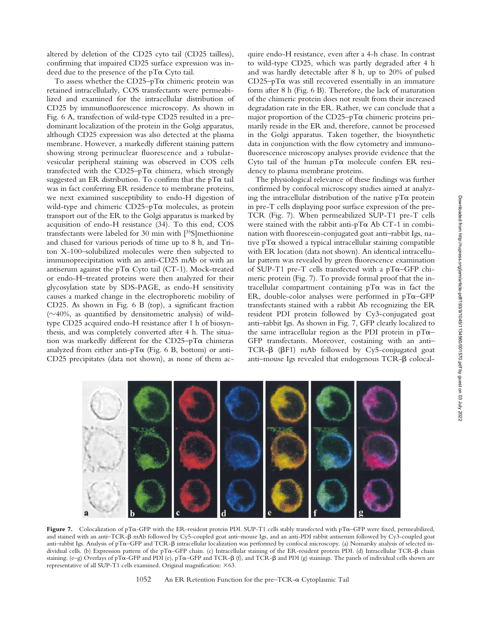To assess whether the CD25-pT $\alpha$  chimeric protein was retained intracellularly, COS transfectants were permeabilized and examined for the intracellular distribution of CD25 by immunofluorescence microscopy. As shown in Fig. 6 A, transfection of wild-type CD25 resulted in a predominant localization of the protein in the Golgi apparatus, although CD25 expression was also detected at the plasma membrane. However, a markedly different staining pattern showing strong perinuclear fluorescence and a tubularvesicular peripheral staining was observed in COS cells transfected with the CD25-pT $\alpha$  chimera, which strongly suggested an ER distribution. To confirm that the pTa tail was in fact conferring ER residence to membrane proteins, we next examined susceptibility to endo-H digestion of wild-type and chimeric  $CD25-pT\alpha$  molecules, as protein transport out of the ER to the Golgi apparatus is marked by acquisition of endo-H resistance (34). To this end, COS transfectants were labeled for 30 min with [35S]methionine and chased for various periods of time up to 8 h, and Triton X-100–solubilized molecules were then subjected to immunoprecipitation with an anti-CD25 mAb or with an antiserum against the pT $\alpha$  Cyto tail (CT-1). Mock-treated or endo-H–treated proteins were then analyzed for their glycosylation state by SDS-PAGE, as endo-H sensitivity causes a marked change in the electrophoretic mobility of CD25. As shown in Fig. 6 B (top), a significant fraction  $(\sim 40\%$ , as quantified by densitometric analysis) of wildtype CD25 acquired endo-H resistance after 1 h of biosynthesis, and was completely converted after 4 h. The situation was markedly different for the  $CD25-pT\alpha$  chimeras analyzed from either anti-pT $\alpha$  (Fig. 6 B, bottom) or anti-CD25 precipitates (data not shown), as none of them acquire endo-H resistance, even after a 4-h chase. In contrast to wild-type CD25, which was partly degraded after 4 h and was hardly detectable after 8 h, up to 20% of pulsed  $CD25-pT\alpha$  was still recovered essentially in an immature form after 8 h (Fig. 6 B). Therefore, the lack of maturation of the chimeric protein does not result from their increased degradation rate in the ER. Rather, we can conclude that a major proportion of the  $CD25-pT\alpha$  chimeric proteins primarily reside in the ER and, therefore, cannot be processed in the Golgi apparatus. Taken together, the biosynthetic data in conjunction with the flow cytometry and immunofluorescence microscopy analyses provide evidence that the Cyto tail of the human  $pT\alpha$  molecule confers ER residency to plasma membrane proteins.

The physiological relevance of these findings was further confirmed by confocal microscopy studies aimed at analyzing the intracellular distribution of the native  $pT\alpha$  protein in pre-T cells displaying poor surface expression of the pre-TCR (Fig. 7). When permeabilized SUP-T1 pre-T cells were stained with the rabbit anti- $pT\alpha$  Ab CT-1 in combination with fluorescein-conjugated goat anti–rabbit Igs, native  $pT\alpha$  showed a typical intracellular staining compatible with ER location (data not shown). An identical intracellular pattern was revealed by green fluorescence examination of SUP-T1 pre-T cells transfected with a pT $\alpha$ –GFP chimeric protein (Fig. 7). To provide formal proof that the intracellular compartment containing  $pT\alpha$  was in fact the ER, double-color analyses were performed in  $pTa-GFP$ transfectants stained with a rabbit Ab recognizing the ER resident PDI protein followed by Cy3-conjugated goat anti–rabbit Igs. As shown in Fig. 7, GFP clearly localized to the same intracellular region as the PDI protein in  $pT\alpha$ – GFP transfectants. Moreover, costaining with an anti– TCR-β (βF1) mAb followed by Cy5-conjugated goat anti-mouse Igs revealed that endogenous  $TCR-\beta$  colocal-



**Figure 7.** Colocalization of pTa-GFP with the ER-resident protein PDI. SUP-T1 cells stably transfected with pTa–GFP were fixed, permeabilized, and stained with an anti–TCR- $\beta$  mAb followed by Cy5-coupled goat anti–mouse Igs, and an anti-PDI rabbit antiserum followed by Cy3-coupled goat anti-rabbit Igs. Analysis of pT $\alpha$ –GFP and TCR- $\beta$  intracellular localization was performed by confocal microscopy. (a) Nomarsky analysis of selected individual cells. (b) Expression pattern of the pT $\alpha$ –GFP chain. (c) Intracellular staining of the ER-resident protein PDI. (d) Intracellular TCR- $\beta$  chain staining. (e–g) Overlays of pT $\alpha$ -GFP and PDI (e), pT $\alpha$ -GFP and TCR- $\beta$  (f), and TCR- $\beta$  and PDI (g) stainings. The panels of individual cells shown are representative of all SUP-T1 cells examined. Original magnification:  $\times 63$ .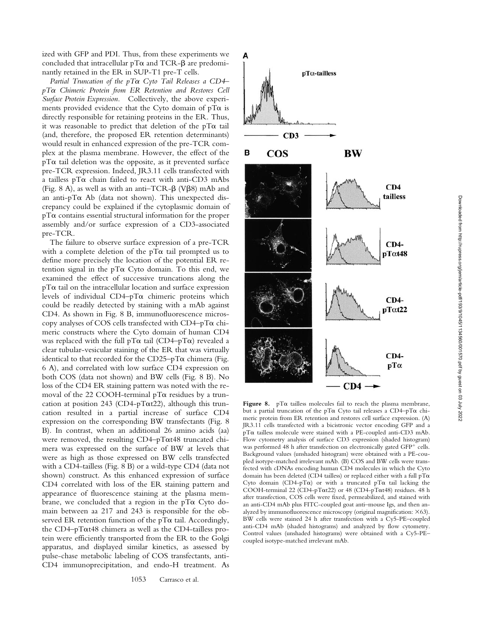ized with GFP and PDI. Thus, from these experiments we concluded that intracellular  $pT\alpha$  and TCR- $\beta$  are predominantly retained in the ER in SUP-T1 pre-T cells.

*Partial Truncation of the pT*a *Cyto Tail Releases a CD4– pT*a *Chimeric Protein from ER Retention and Restores Cell Surface Protein Expression.* Collectively, the above experiments provided evidence that the Cyto domain of  $pT\alpha$  is directly responsible for retaining proteins in the ER. Thus, it was reasonable to predict that deletion of the  $pT\alpha$  tail (and, therefore, the proposed ER retention determinants) would result in enhanced expression of the pre-TCR complex at the plasma membrane. However, the effect of the  $pT\alpha$  tail deletion was the opposite, as it prevented surface pre-TCR expression. Indeed, JR3.11 cells transfected with a tailless  $pT\alpha$  chain failed to react with anti-CD3 mAbs (Fig. 8 A), as well as with an anti–TCR- $\beta$  (V $\beta$ 8) mAb and an anti-p $T\alpha$  Ab (data not shown). This unexpected discrepancy could be explained if the cytoplasmic domain of  $pT\alpha$  contains essential structural information for the proper assembly and/or surface expression of a CD3-associated pre-TCR.

The failure to observe surface expression of a pre-TCR with a complete deletion of the  $pT\alpha$  tail prompted us to define more precisely the location of the potential ER retention signal in the  $pT\alpha$  Cyto domain. To this end, we examined the effect of successive truncations along the  $pT\alpha$  tail on the intracellular location and surface expression levels of individual CD4– $pT\alpha$  chimeric proteins which could be readily detected by staining with a mAb against CD4. As shown in Fig. 8 B, immunofluorescence microscopy analyses of COS cells transfected with  $CD4-pT\alpha$  chimeric constructs where the Cyto domain of human CD4 was replaced with the full  $pT\alpha$  tail (CD4– $pT\alpha$ ) revealed a clear tubular-vesicular staining of the ER that was virtually identical to that recorded for the  $CD25-pT\alpha$  chimera (Fig. 6 A), and correlated with low surface CD4 expression on both COS (data not shown) and BW cells (Fig. 8 B). No loss of the CD4 ER staining pattern was noted with the removal of the 22 COOH-terminal  $pT\alpha$  residues by a truncation at position 243 (CD4-pT $\alpha$ t22), although this truncation resulted in a partial increase of surface CD4 expression on the corresponding BW transfectants (Fig. 8 B). In contrast, when an additional 26 amino acids (aa) were removed, the resulting CD4–pTat48 truncated chimera was expressed on the surface of BW at levels that were as high as those expressed on BW cells transfected with a CD4-tailless (Fig. 8 B) or a wild-type CD4 (data not shown) construct. As this enhanced expression of surface CD4 correlated with loss of the ER staining pattern and appearance of fluorescence staining at the plasma membrane, we concluded that a region in the  $pT\alpha$  Cyto domain between aa 217 and 243 is responsible for the observed ER retention function of the  $pT\alpha$  tail. Accordingly, the CD4–pTat48 chimera as well as the CD4-tailless protein were efficiently transported from the ER to the Golgi apparatus, and displayed similar kinetics, as assessed by pulse-chase metabolic labeling of COS transfectants, anti-CD4 immunoprecipitation, and endo-H treatment. As

1053 Carrasco et al.



Figure 8.  $pT\alpha$  tailless molecules fail to reach the plasma membrane, but a partial truncation of the pT $\alpha$  Cyto tail releases a CD4-pT $\alpha$  chimeric protein from ER retention and restores cell surface expression. (A) JR3.11 cells transfected with a bicistronic vector encoding GFP and a pTa tailless molecule were stained with a PE-coupled anti-CD3 mAb. Flow cytometry analysis of surface CD3 expression (shaded histogram) was performed 48 h after transfection on electronically gated GFP<sup>+</sup> cells. Background values (unshaded histogram) were obtained with a PE-coupled isotype-matched irrelevant mAb. (B) COS and BW cells were transfected with cDNAs encoding human CD4 molecules in which the Cyto domain has been deleted (CD4 tailless) or replaced either with a full  $pT\alpha$ Cyto domain (CD4-pT $\alpha$ ) or with a truncated pT $\alpha$  tail lacking the COOH-terminal 22 (CD4-pTat22) or 48 (CD4-pTat48) residues. 48 h after transfection, COS cells were fixed, permeabilized, and stained with an anti-CD4 mAb plus FITC-coupled goat anti–mouse Igs, and then analyzed by immunofluorescence microscopy (original magnification:  $\times$  63). BW cells were stained 24 h after transfection with a Cy5-PE–coupled anti-CD4 mAb (shaded histograms) and analyzed by flow cytometry. Control values (unshaded histograms) were obtained with a Cy5-PE– coupled isotype-matched irrelevant mAb.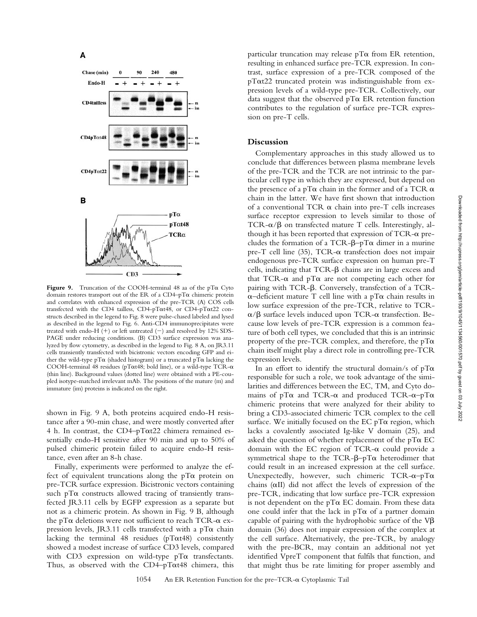

**Figure 9.** Truncation of the COOH-terminal 48 aa of the pTa Cyto domain restores transport out of the ER of a  $CD4-pT\alpha$  chimeric protein and correlates with enhanced expression of the pre-TCR (A) COS cells transfected with the CD4 tailless, CD4-pTat48, or CD4-pTat22 constructs described in the legend to Fig. 8 were pulse-chased labeled and lysed as described in the legend to Fig. 6. Anti-CD4 immunoprecipitates were treated with endo-H  $(+)$  or left untreated  $(-)$  and resolved by 12% SDS-PAGE under reducing conditions. (B) CD3 surface expression was analyzed by flow cytometry, as described in the legend to Fig. 8 A, on JR3.11 cells transiently transfected with bicistronic vectors encoding GFP and either the wild-type pT $\alpha$  (shaded histogram) or a truncated pT $\alpha$  lacking the COOH-terminal 48 residues ( $p\text{T}\alpha$ t48; bold line), or a wild-type TCR- $\alpha$ (thin line). Background values (dotted line) were obtained with a PE-coupled isotype-matched irrelevant mAb. The positions of the mature (m) and immature (im) proteins is indicated on the right.

shown in Fig. 9 A, both proteins acquired endo-H resistance after a 90-min chase, and were mostly converted after 4 h. In contrast, the CD4–pTat22 chimera remained essentially endo-H sensitive after 90 min and up to 50% of pulsed chimeric protein failed to acquire endo-H resistance, even after an 8-h chase.

Finally, experiments were performed to analyze the effect of equivalent truncations along the  $pT\alpha$  protein on pre-TCR surface expression. Bicistronic vectors containing such  $pT\alpha$  constructs allowed tracing of transiently transfected JR3.11 cells by EGFP expression as a separate but not as a chimeric protein. As shown in Fig. 9 B, although the pT $\alpha$  deletions were not sufficient to reach TCR- $\alpha$  expression levels, JR3.11 cells transfected with a  $pT\alpha$  chain lacking the terminal 48 residues ( $p\text{T}$  $\alpha$ t48) consistently showed a modest increase of surface CD3 levels, compared with CD3 expression on wild-type  $pT\alpha$  transfectants. Thus, as observed with the  $CD4-pT\alpha t48$  chimera, this particular truncation may release  $pT\alpha$  from ER retention, resulting in enhanced surface pre-TCR expression. In contrast, surface expression of a pre-TCR composed of the  $p\text{T}\alpha$ t22 truncated protein was indistinguishable from expression levels of a wild-type pre-TCR. Collectively, our data suggest that the observed  $pT\alpha$  ER retention function contributes to the regulation of surface pre-TCR expression on pre-T cells.

# **Discussion**

Complementary approaches in this study allowed us to conclude that differences between plasma membrane levels of the pre-TCR and the TCR are not intrinsic to the particular cell type in which they are expressed, but depend on the presence of a pT $\alpha$  chain in the former and of a TCR  $\alpha$ chain in the latter. We have first shown that introduction of a conventional TCR  $\alpha$  chain into pre-T cells increases surface receptor expression to levels similar to those of TCR- $\alpha$ / $\beta$  on transfected mature T cells. Interestingly, although it has been reported that expression of  $TCR-\alpha$  precludes the formation of a TCR- $\beta$ -pT $\alpha$  dimer in a murine pre-T cell line  $(35)$ , TCR- $\alpha$  transfection does not impair endogenous pre-TCR surface expression on human pre-T cells, indicating that  $TCR-\beta$  chains are in large excess and that TCR- $\alpha$  and pT $\alpha$  are not competing each other for pairing with TCR- $\beta$ . Conversely, transfection of a TCR- $\alpha$ –deficient mature T cell line with a pT $\alpha$  chain results in low surface expression of the pre-TCR, relative to TCR- $\alpha/\beta$  surface levels induced upon TCR- $\alpha$  transfection. Because low levels of pre-TCR expression is a common feature of both cell types, we concluded that this is an intrinsic property of the pre-TCR complex, and therefore, the  $pT\alpha$ chain itself might play a direct role in controlling pre-TCR expression levels.

In an effort to identify the structural domain/s of  $pT\alpha$ responsible for such a role, we took advantage of the similarities and differences between the EC, TM, and Cyto domains of  $pT\alpha$  and TCR- $\alpha$  and produced TCR- $\alpha$ - $pT\alpha$ chimeric proteins that were analyzed for their ability to bring a CD3-associated chimeric TCR complex to the cell surface. We initially focused on the  $ECpT\alpha$  region, which lacks a covalently associated Ig-like V domain (25), and asked the question of whether replacement of the  $pT\alpha$  EC domain with the EC region of TCR- $\alpha$  could provide a symmetrical shape to the TCR- $\beta$ –pT $\alpha$  heterodimer that could result in an increased expression at the cell surface. Unexpectedly, however, such chimeric TCR- $\alpha$ -pT $\alpha$ chains  $(\alpha II)$  did not affect the levels of expression of the pre-TCR, indicating that low surface pre-TCR expression is not dependent on the  $pT\alpha$  EC domain. From these data one could infer that the lack in  $pT\alpha$  of a partner domain capable of pairing with the hydrophobic surface of the  $V\beta$ domain (36) does not impair expression of the complex at the cell surface. Alternatively, the pre-TCR, by analogy with the pre-BCR, may contain an additional not yet identified VpreT component that fulfils that function, and that might thus be rate limiting for proper assembly and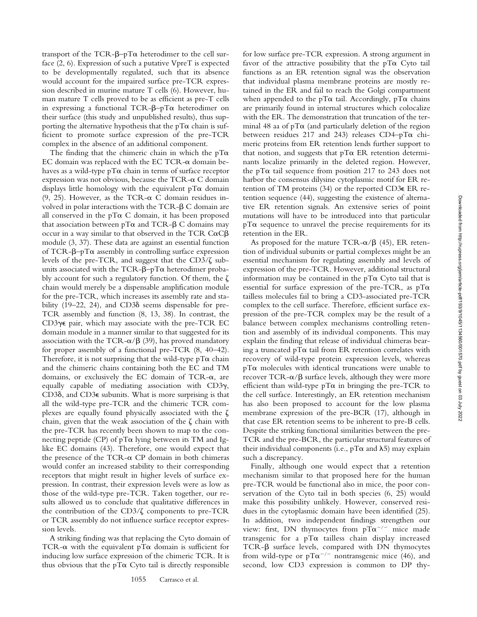transport of the TCR- $\beta$ –pT $\alpha$  heterodimer to the cell surface (2, 6). Expression of such a putative VpreT is expected to be developmentally regulated, such that its absence would account for the impaired surface pre-TCR expression described in murine mature T cells (6). However, human mature T cells proved to be as efficient as pre-T cells in expressing a functional  $TCR-\beta-\gamma T\alpha$  heterodimer on their surface (this study and unpublished results), thus supporting the alternative hypothesis that the  $pT\alpha$  chain is sufficient to promote surface expression of the pre-TCR complex in the absence of an additional component.

The finding that the chimeric chain in which the  $pT\alpha$ EC domain was replaced with the EC TCR- $\alpha$  domain behaves as a wild-type  $pT\alpha$  chain in terms of surface receptor expression was not obvious, because the TCR- $\alpha$  C domain displays little homology with the equivalent  $pT\alpha$  domain (9, 25). However, as the TCR- $\alpha$  C domain residues involved in polar interactions with the  $TCR-\beta C$  domain are all conserved in the  $pT\alpha$  C domain, it has been proposed that association between  $pT\alpha$  and TCR- $\beta$  C domains may occur in a way similar to that observed in the TCR  $C\alpha C\beta$ module (3, 37). These data are against an essential function of TCR- $\beta$ –pT $\alpha$  assembly in controlling surface expression levels of the pre-TCR, and suggest that the CD3/ $\zeta$  subunits associated with the TCR- $\beta$ – $p$ T $\alpha$  heterodimer probably account for such a regulatory function. Of them, the  $\zeta$ chain would merely be a dispensable amplification module for the pre-TCR, which increases its assembly rate and stability (19–22, 24), and CD3 $\delta$  seems dispensable for pre-TCR assembly and function (8, 13, 38). In contrast, the CD3 $\gamma$ E pair, which may associate with the pre-TCR EC domain module in a manner similar to that suggested for its association with the TCR- $\alpha$ / $\beta$  (39), has proved mandatory for proper assembly of a functional pre-TCR (8, 40–42). Therefore, it is not surprising that the wild-type  $pT\alpha$  chain and the chimeric chains containing both the EC and TM domains, or exclusively the EC domain of TCR- $\alpha$ , are equally capable of mediating association with CD3g, CD36, and CD3 $\epsilon$  subunits. What is more surprising is that all the wild-type pre-TCR and the chimeric TCR complexes are equally found physically associated with the  $\zeta$ chain, given that the weak association of the  $\zeta$  chain with the pre-TCR has recently been shown to map to the connecting peptide (CP) of  $pT\alpha$  lying between its TM and Iglike EC domains (43). Therefore, one would expect that the presence of the TCR- $\alpha$  CP domain in both chimeras would confer an increased stability to their corresponding receptors that might result in higher levels of surface expression. In contrast, their expression levels were as low as those of the wild-type pre-TCR. Taken together, our results allowed us to conclude that qualitative differences in the contribution of the  $CD3/\zeta$  components to pre-TCR or TCR assembly do not influence surface receptor expression levels.

A striking finding was that replacing the Cyto domain of TCR- $\alpha$  with the equivalent pT $\alpha$  domain is sufficient for inducing low surface expression of the chimeric TCR. It is thus obvious that the  $pT\alpha$  Cyto tail is directly responsible

for low surface pre-TCR expression. A strong argument in favor of the attractive possibility that the  $pT\alpha$  Cyto tail functions as an ER retention signal was the observation that individual plasma membrane proteins are mostly retained in the ER and fail to reach the Golgi compartment when appended to the pT $\alpha$  tail. Accordingly, pT $\alpha$  chains are primarily found in internal structures which colocalize with the ER. The demonstration that truncation of the terminal 48 aa of  $pT\alpha$  (and particularly deletion of the region between residues 217 and 243) releases CD4-pT $\alpha$  chimeric proteins from ER retention lends further support to that notion, and suggests that  $pT\alpha$  ER retention determinants localize primarily in the deleted region. However, the pT $\alpha$  tail sequence from position 217 to 243 does not harbor the consensus dilysine cytoplasmic motif for ER retention of TM proteins (34) or the reported CD3e ER retention sequence (44), suggesting the existence of alternative ER retention signals. An extensive series of point mutations will have to be introduced into that particular  $pT\alpha$  sequence to unravel the precise requirements for its retention in the ER.

As proposed for the mature TCR- $\alpha/\beta$  (45), ER retention of individual subunits or partial complexes might be an essential mechanism for regulating assembly and levels of expression of the pre-TCR. However, additional structural information may be contained in the  $pT\alpha$  Cyto tail that is essential for surface expression of the pre-TCR, as  $pT\alpha$ tailless molecules fail to bring a CD3-associated pre-TCR complex to the cell surface. Therefore, efficient surface expression of the pre-TCR complex may be the result of a balance between complex mechanisms controlling retention and assembly of its individual components. This may explain the finding that release of individual chimeras bearing a truncated pT $\alpha$  tail from ER retention correlates with recovery of wild-type protein expression levels, whereas pTa molecules with identical truncations were unable to recover  $TCR-\alpha/\beta$  surface levels, although they were more efficient than wild-type  $pT\alpha$  in bringing the pre-TCR to the cell surface. Interestingly, an ER retention mechanism has also been proposed to account for the low plasma membrane expression of the pre-BCR (17), although in that case ER retention seems to be inherent to pre-B cells. Despite the striking functional similarities between the pre-TCR and the pre-BCR, the particular structural features of their individual components (i.e.,  $pT\alpha$  and  $\lambda$ 5) may explain such a discrepancy.

Finally, although one would expect that a retention mechanism similar to that proposed here for the human pre-TCR would be functional also in mice, the poor conservation of the Cyto tail in both species (6, 25) would make this possibility unlikely. However, conserved residues in the cytoplasmic domain have been identified (25). In addition, two independent findings strengthen our view: first, DN thymocytes from  $pT\alpha^{-/-}$  mice made transgenic for a  $pT\alpha$  tailless chain display increased TCR-b surface levels, compared with DN thymocytes from wild-type or  $pT\alpha^{-/-}$  nontransgenic mice (46), and second, low CD3 expression is common to DP thy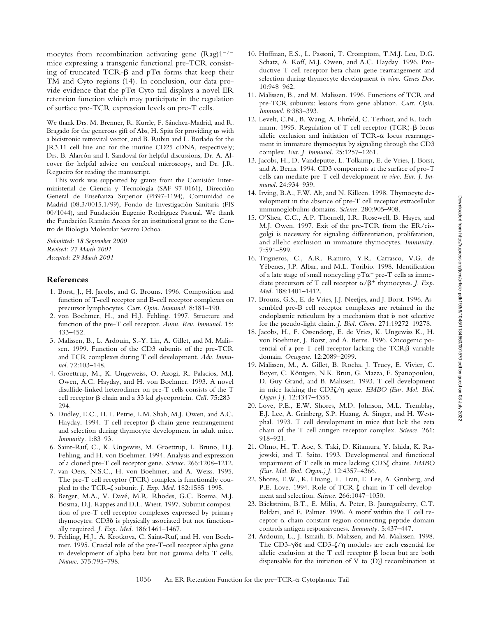mocytes from recombination activating gene  $(Rag)1^{-/-}$ mice expressing a transgenic functional pre-TCR consisting of truncated TCR- $\beta$  and pT $\alpha$  forms that keep their TM and Cyto regions (14). In conclusion, our data provide evidence that the  $pT\alpha$  Cyto tail displays a novel ER retention function which may participate in the regulation of surface pre-TCR expression levels on pre-T cells.

We thank Drs. M. Brenner, R. Kurrle, F. Sánchez-Madrid, and R. Bragado for the generous gift of Abs, H. Spits for providing us with a bicistronic retroviral vector, and B. Rubin and L. Borlado for the JR3.11 cell line and for the murine CD25 cDNA, respectively; Drs. B. Alarcón and I. Sandoval for helpful discussions, Dr. A. Alcover for helpful advice on confocal microscopy, and Dr. J.R. Regueiro for reading the manuscript.

This work was supported by grants from the Comisión Interministerial de Ciencia y Tecnología (SAF 97-0161), Dirección General de Enseñanza Superior (PB97-1194), Comunidad de Madrid (08.3/0015.1/99), Fondo de Investigación Sanitaria (FIS 00/1044), and Fundación Eugenio Rodríguez Pascual. We thank the Fundación Ramón Areces for an institutional grant to the Centro de Biología Molecular Severo Ochoa.

*Submitted: 18 September 2000 Revised: 27 March 2001 Accepted: 29 March 2001*

# **References**

- 1. Borst, J., H. Jacobs, and G. Brouns. 1996. Composition and function of T-cell receptor and B-cell receptor complexes on precursor lymphocytes. *Curr. Opin. Immunol.* 8:181–190.
- 2. von Boehmer, H., and H.J. Fehling. 1997. Structure and function of the pre-T cell receptor. *Annu. Rev. Immunol.* 15: 433–452.
- 3. Malissen, B., L. Ardouin, S.-Y. Lin, A. Gillet, and M. Malissen. 1999. Function of the CD3 subunits of the pre-TCR and TCR complexes during T cell development. *Adv. Immunol*. 72:103–148.
- 4. Groettrup, M., K. Ungeweiss, O. Azogi, R. Palacios, M.J. Owen, A.C. Hayday, and H. von Boehmer. 1993. A novel disulfide-linked heterodimer on pre-T cells consists of the T cell receptor b chain and a 33 kd glycoprotein. *Cell.* 75:283– 294.
- 5. Dudley, E.C., H.T. Petrie, L.M. Shah, M.J. Owen, and A.C. Hayday. 1994. T cell receptor  $\beta$  chain gene rearrangement and selection during thymocyte development in adult mice. *Immunity.* 1:83–93.
- 6. Saint-Ruf, C., K. Ungewiss, M. Groettrup, L. Bruno, H.J. Fehling, and H. von Boehmer. 1994. Analysis and expression of a cloned pre-T cell receptor gene. *Science.* 266:1208–1212.
- 7. van Oers, N.S.C., H. von Boehmer, and A. Weiss. 1995. The pre-T cell receptor (TCR) complex is functionally coupled to the TCR-z subunit. *J. Exp. Med.* 182:1585–1995.
- 8. Berger, M.A., V. Davé, M.R. Rhodes, G.C. Bosma, M.J. Bosma, D.J. Kappes and D.L. Wiest. 1997. Subunit composition of pre-T cell receptor complexes expressed by primary thymocytes: CD3d is physically associated but not functionally required. *J. Exp. Med.* 186:1461–1467.
- 9. Fehling, H.J., A. Krotkova, C. Saint-Ruf, and H. von Boehmer. 1995. Crucial role of the pre-T-cell receptor alpha gene in development of alpha beta but not gamma delta T cells. *Nature.* 375:795–798.
- 10. Hoffman, E.S., L. Passoni, T. Cromptom, T.M.J. Leu, D.G. Schatz, A. Koff, M.J. Owen, and A.C. Hayday. 1996. Productive T-cell receptor beta-chain gene rearrangement and selection during thymocyte development *in vivo*. *Genes Dev.* 10:948–962.
- 11. Malissen, B., and M. Malissen. 1996. Functions of TCR and pre-TCR subunits: lessons from gene ablation. *Curr. Opin. Immunol*. 8:383–393.
- 12. Levelt, C.N., B. Wang, A. Ehrfeld, C. Terhost, and K. Eichmann. 1995. Regulation of T cell receptor (TCR)- $\beta$  locus allelic exclusion and initiation of  $TCR-\alpha$  locus rearrangement in immature thymocytes by signaling through the CD3 complex. *Eur. J. Immunol.* 25:1257–1261.
- 13. Jacobs, H., D. Vandeputte, L. Tolkamp, E. de Vries, J. Borst, and A. Berns. 1994. CD3 components at the surface of pro-T cells can mediate pre-T cell development *in vivo*. *Eur. J. Immunol*. 24:934–939.
- 14. Irving, B.A., F.W. Alt, and N. Killeen. 1998. Thymocyte development in the absence of pre-T cell receptor extracellular immunoglobulins domains. *Science.* 280:905–908.
- 15. O'Shea, C.C., A.P. Thornell, I.R. Rosewell, B. Hayes, and M.J. Owen. 1997. Exit of the pre-TCR from the ER/cisgolgi is necessary for signaling differentiation, proliferation, and allelic exclusion in immature thymocytes. *Immunity.* 7:591–599.
- 16. Trigueros, C., A.R. Ramiro, Y.R. Carrasco, V.G. de Yébenes, J.P. Albar, and M.L. Toribio. 1998. Identification of a late stage of small noncycling  $pT\alpha$ <sup>-</sup> pre-T cells as immediate precursors of T cell receptor  $\alpha/\beta^+$  thymocytes. *J. Exp. Med.* 188:1401–1412.
- 17. Brouns, G.S., E. de Vries, J.J. Neefjes, and J. Borst. 1996. Assembled pre-B cell receptor complexes are retained in the endoplasmic reticulum by a mechanism that is not selective for the pseudo-light chain. *J. Biol. Chem.* 271:19272–19278.
- 18. Jacobs, H., F. Ossendorp, E. de Vries, K. Ungewiss K., H. von Boehmer, J. Borst, and A. Berns. 1996. Oncogenic potential of a pre-T cell receptor lacking the  $TCR\beta$  variable domain. *Oncogene.* 12:2089–2099.
- 19. Malissen, M., A. Gillet, B. Rocha, J. Trucy, E. Vivier, C. Boyer, C. Köntgen, N.K. Brun, G. Mazza, E. Spanopoulou, D. Guy-Grand, and B. Malissen. 1993. T cell development in mice lacking the CD3ζ/η gene. *EMBO (Eur. Mol. Biol. Organ.) J.* 12:4347–4355.
- 20. Love, P.E., E.W. Shores, M.D. Johnson, M.L. Tremblay, E.J. Lee, A. Grinberg, S.P. Huang, A. Singer, and H. Westphal. 1993. T cell development in mice that lack the zeta chain of the T cell antigen receptor complex. *Science.* 261: 918–921.
- 21. Ohno, H., T. Aoe, S. Taki, D. Kitamura, Y. Ishida, K. Rajewski, and T. Saito. 1993. Developmental and functional impairment of T cells in mice lacking CD3z chains. *EMBO (Eur. Mol. Biol. Organ.) J.* 12:4357–4366.
- 22. Shores, E.W., K. Huang, T. Tran, E. Lee, A. Grinberg, and P.E. Love. 1994. Role of TCR  $\zeta$  chain in T cell development and selection. *Science.* 266:1047–1050.
- 23. Bäckström, B.T., E. Milia, A. Peter, B. Jaureguiberry, C.T. Baldari, and E. Palmer. 1996. A motif within the T cell receptor  $\alpha$  chain constant region connecting peptide domain controls antigen responsiveness. *Immunity.* 5:437–447.
- 24. Ardouin, L., J. Ismaili, B. Malissen, and M. Malissen. 1998. The CD3- $\gamma\delta\epsilon$  and CD3- $\zeta/\eta$  modules are each essential for allelic exclusion at the T cell receptor  $\beta$  locus but are both dispensable for the initiation of V to (D)J recombination at